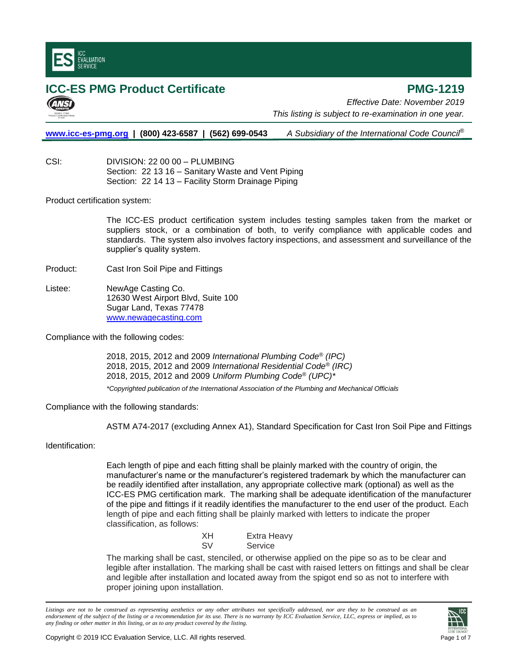

## **ICC-ES PMG Product Certificate PMG-1219**

*Effective Date: November 2019 This listing is subject to re-examination in one year.*

**[www.icc-es-pmg.org](http://www.icc-es-pmg.org/) | (800) 423-6587 | (562) 699-0543** *A Subsidiary of the International Code Council*®

CSI: DIVISION: 22 00 00 – PLUMBING Section: 22 13 16 – Sanitary Waste and Vent Piping Section: 22 14 13 – Facility Storm Drainage Piping

Product certification system:

The ICC-ES product certification system includes testing samples taken from the market or suppliers stock, or a combination of both, to verify compliance with applicable codes and standards. The system also involves factory inspections, and assessment and surveillance of the supplier's quality system.

Product: Cast Iron Soil Pipe and Fittings

Listee: NewAge Casting Co. 12630 West Airport Blvd, Suite 100 Sugar Land, Texas 77478 [www.newagecasting.com](http://www.newagecasting.com/)

Compliance with the following codes:

2018, 2015, 2012 and 2009 *International Plumbing Code® (IPC)* 2018, 2015, 2012 and 2009 *International Residential Code® (IRC)* 2018, 2015, 2012 and 2009 *Uniform Plumbing Code® (UPC)\**

*\*Copyrighted publication of the International Association of the Plumbing and Mechanical Officials*

Compliance with the following standards:

ASTM A74-2017 (excluding Annex A1), Standard Specification for Cast Iron Soil Pipe and Fittings

Identification:

Each length of pipe and each fitting shall be plainly marked with the country of origin, the manufacturer's name or the manufacturer's registered trademark by which the manufacturer can be readily identified after installation, any appropriate collective mark (optional) as well as the ICC-ES PMG certification mark. The marking shall be adequate identification of the manufacturer of the pipe and fittings if it readily identifies the manufacturer to the end user of the product. Each length of pipe and each fitting shall be plainly marked with letters to indicate the proper classification, as follows:

| XН | Extra Heavy |
|----|-------------|
| SV | Service     |

The marking shall be cast, stenciled, or otherwise applied on the pipe so as to be clear and legible after installation. The marking shall be cast with raised letters on fittings and shall be clear and legible after installation and located away from the spigot end so as not to interfere with proper joining upon installation.

*Listings are not to be construed as representing aesthetics or any other attributes not specifically addressed, nor are they to be construed as an endorsement of the subject of the listing or a recommendation for its use. There is no warranty by ICC Evaluation Service, LLC, express or implied, as to any finding or other matter in this listing, or as to any product covered by the listing.*

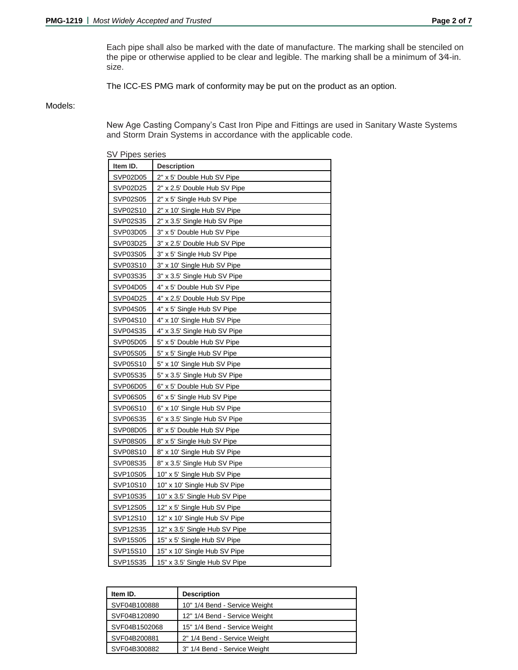Each pipe shall also be marked with the date of manufacture. The marking shall be stenciled on the pipe or otherwise applied to be clear and legible. The marking shall be a minimum of 3⁄4-in. size.

The ICC-ES PMG mark of conformity may be put on the product as an option.

## Models:

New Age Casting Company's Cast Iron Pipe and Fittings are used in Sanitary Waste Systems and Storm Drain Systems in accordance with the applicable code.

SV Pipes series **Item ID. Description** SVP02D05 2" x 5' Double Hub SV Pipe SVP02D25 2" x 2.5' Double Hub SV Pipe SVP02S05 2" x 5' Single Hub SV Pipe SVP02S10 2" x 10' Single Hub SV Pipe SVP02S35 2" x 3.5' Single Hub SV Pipe SVP03D05 3" x 5' Double Hub SV Pipe SVP03D25 3" x 2.5' Double Hub SV Pipe SVP03S05 3" x 5' Single Hub SV Pipe SVP03S10 3" x 10' Single Hub SV Pipe SVP03S35 3" x 3.5' Single Hub SV Pipe SVP04D05 4" x 5' Double Hub SV Pipe SVP04D25 4" x 2.5' Double Hub SV Pipe SVP04S05 4" x 5' Single Hub SV Pipe SVP04S10 4" x 10' Single Hub SV Pipe SVP04S35 4" x 3.5' Single Hub SV Pipe SVP05D05 5" x 5' Double Hub SV Pipe SVP05S05 5" x 5' Single Hub SV Pipe SVP05S10 5" x 10' Single Hub SV Pipe  $SVP05S35$  5" x 3.5' Single Hub SV Pipe SVP06D05 6" x 5' Double Hub SV Pipe SVP06S05 6" x 5' Single Hub SV Pipe SVP06S10 6" x 10' Single Hub SV Pipe SVP06S35 6" x 3.5' Single Hub SV Pipe SVP08D05 | 8" x 5' Double Hub SV Pipe SVP08S05 8" x 5' Single Hub SV Pipe SVP08S10 | 8" x 10' Single Hub SV Pipe SVP08S35 8" x 3.5' Single Hub SV Pipe SVP10S05 | 10" x 5' Single Hub SV Pipe SVP10S10 | 10" x 10' Single Hub SV Pipe SVP10S35 | 10" x 3.5' Single Hub SV Pipe SVP12S05 | 12" x 5' Single Hub SV Pipe SVP12S10 | 12" x 10' Single Hub SV Pipe SVP12S35 12" x 3.5' Single Hub SV Pipe SVP15S05 | 15" x 5' Single Hub SV Pipe SVP15S10 | 15" x 10' Single Hub SV Pipe SVP15S35 | 15" x 3.5' Single Hub SV Pipe

| Item ID.      | <b>Description</b>            |
|---------------|-------------------------------|
| SVF04B100888  | 10" 1/4 Bend - Service Weight |
| SVF04B120890  | 12" 1/4 Bend - Service Weight |
| SVF04B1502068 | 15" 1/4 Bend - Service Weight |
| SVF04B200881  | 2" 1/4 Bend - Service Weight  |
| SVF04B300882  | 3" 1/4 Bend - Service Weight  |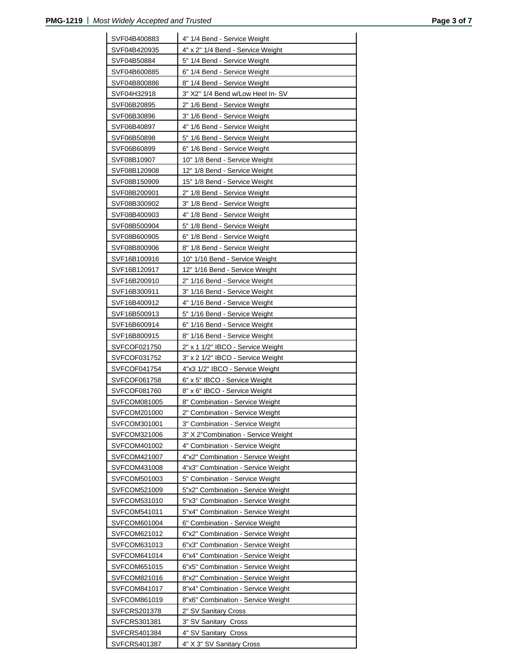| SVF04B400883 | 4" 1/4 Bend - Service Weight                                     |
|--------------|------------------------------------------------------------------|
|              | 4" x 2" 1/4 Bend - Service Weight                                |
| SVF04B420935 |                                                                  |
| SVF04B50884  | 5" 1/4 Bend - Service Weight                                     |
| SVF04B600885 | 6" 1/4 Bend - Service Weight                                     |
| SVF04B800886 | 8" 1/4 Bend - Service Weight                                     |
| SVF04H32918  | 3" X2" 1/4 Bend w/Low Heel In-SV                                 |
| SVF06B20895  | 2" 1/6 Bend - Service Weight                                     |
| SVF06B30896  | 3" 1/6 Bend - Service Weight                                     |
| SVF06B40897  | 4" 1/6 Bend - Service Weight                                     |
| SVF06B50898  | 5" 1/6 Bend - Service Weight                                     |
| SVF06B60899  | 6" 1/6 Bend - Service Weight                                     |
| SVF08B10907  | 10" 1/8 Bend - Service Weight                                    |
| SVF08B120908 | 12" 1/8 Bend - Service Weight                                    |
| SVF08B150909 | 15" 1/8 Bend - Service Weight                                    |
| SVF08B200901 | 2" 1/8 Bend - Service Weight                                     |
| SVF08B300902 | 3" 1/8 Bend - Service Weight                                     |
| SVF08B400903 | 4" 1/8 Bend - Service Weight                                     |
| SVF08B500904 | 5" 1/8 Bend - Service Weight                                     |
| SVF08B600905 | 6" 1/8 Bend - Service Weight                                     |
| SVF08B800906 | 8" 1/8 Bend - Service Weight                                     |
| SVF16B100916 | 10" 1/16 Bend - Service Weight<br>12" 1/16 Bend - Service Weight |
| SVF16B120917 |                                                                  |
| SVF16B200910 | 2" 1/16 Bend - Service Weight                                    |
| SVF16B300911 | 3" 1/16 Bend - Service Weight                                    |
| SVF16B400912 | 4" 1/16 Bend - Service Weight                                    |
| SVF16B500913 | 5" 1/16 Bend - Service Weight                                    |
| SVF16B600914 | 6" 1/16 Bend - Service Weight                                    |
| SVF16B800915 | 8" 1/16 Bend - Service Weight                                    |
| SVFCOF021750 | 2" x 1 1/2" IBCO - Service Weight                                |
| SVFCOF031752 | 3" x 2 1/2" IBCO - Service Weight                                |
| SVFCOF041754 | 4"x3 1/2" IBCO - Service Weight                                  |
| SVFCOF061758 | 6" x 5" IBCO - Service Weight                                    |
| SVFCOF081760 | 8" x 6" IBCO - Service Weight                                    |
| SVFCOM081005 | 8" Combination - Service Weight                                  |
| SVFCOM201000 | 2" Combination - Service Weight                                  |
| SVFCOM301001 | 3" Combination - Service Weight                                  |
| SVFCOM321006 | 3" X 2"Combination - Service Weight                              |
| SVFCOM401002 | 4" Combination - Service Weight                                  |
| SVFCOM421007 | 4"x2" Combination - Service Weight                               |
| SVFCOM431008 | 4"x3" Combination - Service Weight                               |
| SVFCOM501003 | 5" Combination - Service Weight                                  |
| SVFCOM521009 | 5"x2" Combination - Service Weight                               |
| SVFCOM531010 | 5"x3" Combination - Service Weight                               |
| SVFCOM541011 | 5"x4" Combination - Service Weight                               |
| SVFCOM601004 | 6" Combination - Service Weight                                  |
| SVFCOM621012 | 6"x2" Combination - Service Weight                               |
| SVFCOM631013 | 6"x3" Combination - Service Weight                               |
| SVFCOM641014 | 6"x4" Combination - Service Weight                               |
| SVFCOM651015 | 6"x5" Combination - Service Weight                               |
| SVFCOM821016 | 8"x2" Combination - Service Weight                               |
| SVFCOM841017 | 8"x4" Combination - Service Weight                               |
| SVFCOM861019 | 8"x6" Combination - Service Weight                               |
| SVFCRS201378 | 2" SV Sanitary Cross                                             |
| SVFCRS301381 | 3" SV Sanitary Cross                                             |
| SVFCRS401384 | 4" SV Sanitary Cross                                             |
| SVFCRS401387 | 4" X 3" SV Sanitary Cross                                        |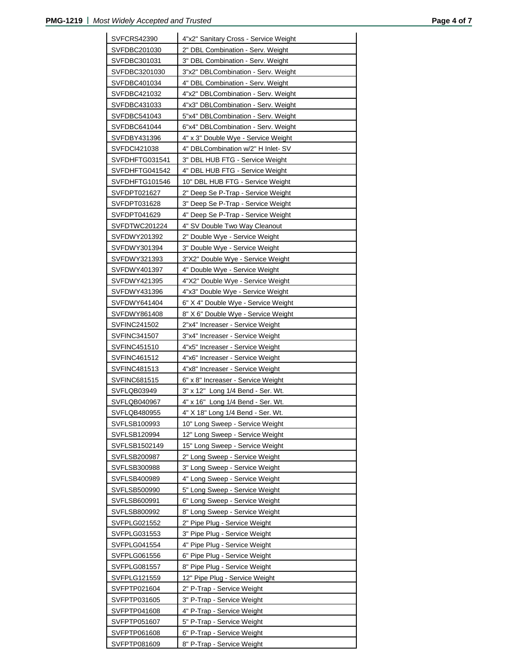| <b>SVFCRS42390</b>           | 4"x2" Sanitary Cross - Service Weight                            |
|------------------------------|------------------------------------------------------------------|
| SVFDBC201030                 | 2" DBL Combination - Serv. Weight                                |
| SVFDBC301031                 | 3" DBL Combination - Serv. Weight                                |
| SVFDBC3201030                | 3"x2" DBLCombination - Serv. Weight                              |
| SVFDBC401034                 | 4" DBL Combination - Serv. Weight                                |
| SVFDBC421032                 | 4"x2" DBLCombination - Serv. Weight                              |
| SVFDBC431033                 | 4"x3" DBLCombination - Serv. Weight                              |
| SVFDBC541043                 | 5"x4" DBLCombination - Serv. Weight                              |
| SVFDBC641044                 | 6"x4" DBLCombination - Serv. Weight                              |
| SVFDBY431396                 | 4" x 3" Double Wye - Service Weight                              |
| SVFDCI421038                 | 4" DBLCombination w/2" H Inlet-SV                                |
| SVFDHFTG031541               | 3" DBL HUB FTG - Service Weight                                  |
| SVFDHFTG041542               | 4" DBL HUB FTG - Service Weight                                  |
| SVFDHFTG101546               | 10" DBL HUB FTG - Service Weight                                 |
| SVFDPT021627                 | 2" Deep Se P-Trap - Service Weight                               |
| SVFDPT031628                 | 3" Deep Se P-Trap - Service Weight                               |
| SVFDPT041629                 | 4" Deep Se P-Trap - Service Weight                               |
| SVFDTWC201224                | 4" SV Double Two Way Cleanout                                    |
| SVFDWY201392                 | 2" Double Wye - Service Weight                                   |
| SVFDWY301394                 | 3" Double Wye - Service Weight                                   |
| SVFDWY321393                 | 3"X2" Double Wye - Service Weight                                |
| SVFDWY401397                 | 4" Double Wye - Service Weight                                   |
| SVFDWY421395                 | 4"X2" Double Wye - Service Weight                                |
| SVFDWY431396                 | 4"x3" Double Wye - Service Weight                                |
| SVFDWY641404                 | 6" X 4" Double Wye - Service Weight                              |
| SVFDWY861408                 | 8" X 6" Double Wye - Service Weight                              |
| SVFINC241502                 | 2"x4" Increaser - Service Weight                                 |
| SVFINC341507                 | 3"x4" Increaser - Service Weight                                 |
| SVFINC451510                 | 4"x5" Increaser - Service Weight                                 |
| SVFINC461512                 | 4"x6" Increaser - Service Weight                                 |
| SVFINC481513                 | 4"x8" Increaser - Service Weight                                 |
| SVFINC681515                 | 6" x 8" Increaser - Service Weight                               |
| SVFLQB03949                  | 3" x 12" Long 1/4 Bend - Ser. Wt.                                |
| SVFLQB040967                 | 4" x 16" Long 1/4 Bend - Ser. Wt.                                |
| <b>SVFLQB480955</b>          | 4" X 18" Long 1/4 Bend - Ser. Wt.                                |
| SVFLSB100993                 | 10" Long Sweep - Service Weight                                  |
| SVFLSB120994                 | 12" Long Sweep - Service Weight                                  |
| SVFLSB1502149                | 15" Long Sweep - Service Weight                                  |
| SVFLSB200987<br>SVFLSB300988 | 2" Long Sweep - Service Weight<br>3" Long Sweep - Service Weight |
| SVFLSB400989                 |                                                                  |
| SVFLSB500990                 | 4" Long Sweep - Service Weight<br>5" Long Sweep - Service Weight |
| SVFLSB600991                 | 6" Long Sweep - Service Weight                                   |
| SVFLSB800992                 | 8" Long Sweep - Service Weight                                   |
| SVFPLG021552                 | 2" Pipe Plug - Service Weight                                    |
| SVFPLG031553                 | 3" Pipe Plug - Service Weight                                    |
| SVFPLG041554                 | 4" Pipe Plug - Service Weight                                    |
| SVFPLG061556                 | 6" Pipe Plug - Service Weight                                    |
| SVFPLG081557                 | 8" Pipe Plug - Service Weight                                    |
| SVFPLG121559                 | 12" Pipe Plug - Service Weight                                   |
| SVFPTP021604                 | 2" P-Trap - Service Weight                                       |
| SVFPTP031605                 | 3" P-Trap - Service Weight                                       |
| SVFPTP041608                 | 4" P-Trap - Service Weight                                       |
| SVFPTP051607                 | 5" P-Trap - Service Weight                                       |
| SVFPTP061608                 | 6" P-Trap - Service Weight                                       |
| SVFPTP081609                 | 8" P-Trap - Service Weight                                       |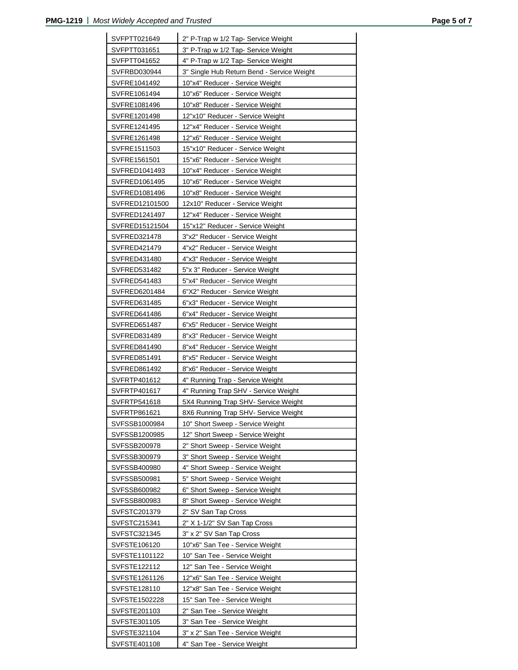| SVFPTT021649   | 2" P-Trap w 1/2 Tap- Service Weight        |
|----------------|--------------------------------------------|
| SVFPTT031651   | 3" P-Trap w 1/2 Tap- Service Weight        |
| SVFPTT041652   | 4" P-Trap w 1/2 Tap- Service Weight        |
| SVFRBD030944   | 3" Single Hub Return Bend - Service Weight |
| SVFRE1041492   | 10"x4" Reducer - Service Weight            |
| SVFRE1061494   | 10"x6" Reducer - Service Weight            |
| SVFRE1081496   | 10"x8" Reducer - Service Weight            |
| SVFRE1201498   | 12"x10" Reducer - Service Weight           |
| SVFRE1241495   | 12"x4" Reducer - Service Weight            |
| SVFRE1261498   | 12"x6" Reducer - Service Weight            |
| SVFRE1511503   | 15"x10" Reducer - Service Weight           |
| SVFRE1561501   | 15"x6" Reducer - Service Weight            |
| SVFRED1041493  | 10"x4" Reducer - Service Weight            |
| SVFRED1061495  | 10"x6" Reducer - Service Weight            |
| SVFRED1081496  | 10"x8" Reducer - Service Weight            |
| SVFRED12101500 | 12x10" Reducer - Service Weight            |
| SVFRED1241497  | 12"x4" Reducer - Service Weight            |
| SVFRED15121504 | 15"x12" Reducer - Service Weight           |
| SVFRED321478   | 3"x2" Reducer - Service Weight             |
| SVFRED421479   | 4"x2" Reducer - Service Weight             |
| SVFRED431480   | 4"x3" Reducer - Service Weight             |
| SVFRED531482   | 5"x 3" Reducer - Service Weight            |
| SVFRED541483   | 5"x4" Reducer - Service Weight             |
| SVFRED6201484  | 6"X2" Reducer - Service Weight             |
| SVFRED631485   | 6"x3" Reducer - Service Weight             |
| SVFRED641486   | 6"x4" Reducer - Service Weight             |
| SVFRED651487   | 6"x5" Reducer - Service Weight             |
| SVFRED831489   | 8"x3" Reducer - Service Weight             |
| SVFRED841490   | 8"x4" Reducer - Service Weight             |
| SVFRED851491   | 8"x5" Reducer - Service Weight             |
| SVFRED861492   | 8"x6" Reducer - Service Weight             |
| SVFRTP401612   | 4" Running Trap - Service Weight           |
| SVFRTP401617   | 4" Running Trap SHV - Service Weight       |
| SVFRTP541618   | 5X4 Running Trap SHV- Service Weight       |
| SVFRTP861621   | 8X6 Running Trap SHV- Service Weight       |
| SVFSSB1000984  | 10" Short Sweep - Service Weight           |
| SVFSSB1200985  | 12" Short Sweep - Service Weight           |
| SVFSSB200978   | 2" Short Sweep - Service Weight            |
| SVFSSB300979   | 3" Short Sweep - Service Weight            |
| SVFSSB400980   | 4" Short Sweep - Service Weight            |
| SVFSSB500981   | 5" Short Sweep - Service Weight            |
| SVFSSB600982   | 6" Short Sweep - Service Weight            |
| SVFSSB800983   | 8" Short Sweep - Service Weight            |
| SVFSTC201379   | 2" SV San Tap Cross                        |
| SVFSTC215341   | 2" X 1-1/2" SV San Tap Cross               |
| SVFSTC321345   | 3" x 2" SV San Tap Cross                   |
| SVFSTE106120   | 10"x6" San Tee - Service Weight            |
| SVFSTE1101122  | 10" San Tee - Service Weight               |
| SVFSTE122112   | 12" San Tee - Service Weight               |
| SVFSTE1261126  | 12"x6" San Tee - Service Weight            |
| SVFSTE128110   | 12"x8" San Tee - Service Weight            |
| SVFSTE1502228  | 15" San Tee - Service Weight               |
| SVFSTE201103   | 2" San Tee - Service Weight                |
| SVFSTE301105   | 3" San Tee - Service Weight                |
| SVFSTE321104   | 3" x 2" San Tee - Service Weight           |
| SVFSTE401108   | 4" San Tee - Service Weight                |
|                |                                            |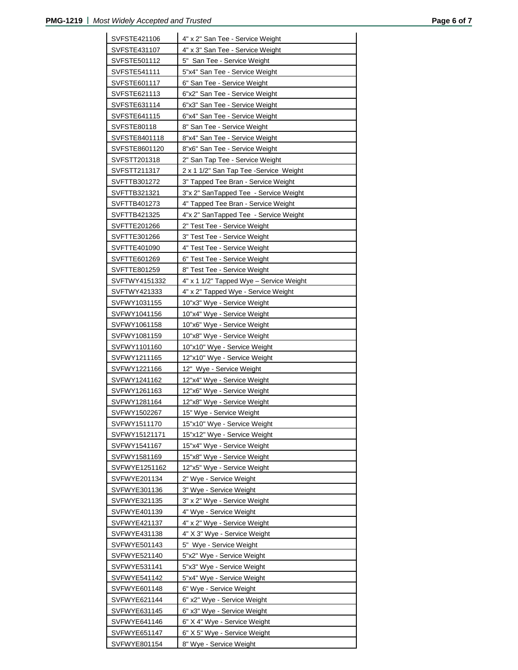| SVFSTE421106<br>4" x 2" San Tee - Service Weight<br>SVFSTE431107<br>4" x 3" San Tee - Service Weight<br>SVFSTE501112<br>5" San Tee - Service Weight<br>5"x4" San Tee - Service Weight<br>SVFSTE541111<br>6" San Tee - Service Weight<br>SVFSTE601117<br>SVFSTE621113<br>6"x2" San Tee - Service Weight<br>6"x3" San Tee - Service Weight<br>SVFSTE631114 |  |
|----------------------------------------------------------------------------------------------------------------------------------------------------------------------------------------------------------------------------------------------------------------------------------------------------------------------------------------------------------|--|
|                                                                                                                                                                                                                                                                                                                                                          |  |
|                                                                                                                                                                                                                                                                                                                                                          |  |
|                                                                                                                                                                                                                                                                                                                                                          |  |
|                                                                                                                                                                                                                                                                                                                                                          |  |
|                                                                                                                                                                                                                                                                                                                                                          |  |
|                                                                                                                                                                                                                                                                                                                                                          |  |
| SVFSTE641115<br>6"x4" San Tee - Service Weight                                                                                                                                                                                                                                                                                                           |  |
| SVFSTE80118<br>8" San Tee - Service Weight                                                                                                                                                                                                                                                                                                               |  |
| 8"x4" San Tee - Service Weight<br>SVFSTE8401118                                                                                                                                                                                                                                                                                                          |  |
| 8"x6" San Tee - Service Weight<br>SVFSTE8601120                                                                                                                                                                                                                                                                                                          |  |
| 2" San Tap Tee - Service Weight<br>SVFSTT201318                                                                                                                                                                                                                                                                                                          |  |
| SVFSTT211317<br>2 x 1 1/2" San Tap Tee - Service Weight                                                                                                                                                                                                                                                                                                  |  |
| SVFTTB301272<br>3" Tapped Tee Bran - Service Weight                                                                                                                                                                                                                                                                                                      |  |
| SVFTTB321321<br>3"x 2" SanTapped Tee - Service Weight                                                                                                                                                                                                                                                                                                    |  |
| SVFTTB401273<br>4" Tapped Tee Bran - Service Weight                                                                                                                                                                                                                                                                                                      |  |
| SVFTTB421325<br>4"x 2" SanTapped Tee - Service Weight                                                                                                                                                                                                                                                                                                    |  |
| 2" Test Tee - Service Weight<br>SVFTTE201266                                                                                                                                                                                                                                                                                                             |  |
| 3" Test Tee - Service Weight<br>SVFTTE301266                                                                                                                                                                                                                                                                                                             |  |
| SVFTTE401090<br>4" Test Tee - Service Weight                                                                                                                                                                                                                                                                                                             |  |
| SVFTTE601269<br>6" Test Tee - Service Weight                                                                                                                                                                                                                                                                                                             |  |
| 8" Test Tee - Service Weight<br>SVFTTE801259                                                                                                                                                                                                                                                                                                             |  |
| 4" x 1 1/2" Tapped Wye - Service Weight<br>SVFTWY4151332                                                                                                                                                                                                                                                                                                 |  |
| SVFTWY421333<br>4" x 2" Tapped Wye - Service Weight                                                                                                                                                                                                                                                                                                      |  |
| SVFWY1031155<br>10"x3" Wye - Service Weight                                                                                                                                                                                                                                                                                                              |  |
| SVFWY1041156<br>10"x4" Wye - Service Weight                                                                                                                                                                                                                                                                                                              |  |
| 10"x6" Wye - Service Weight<br>SVFWY1061158                                                                                                                                                                                                                                                                                                              |  |
| 10"x8" Wye - Service Weight<br>SVFWY1081159                                                                                                                                                                                                                                                                                                              |  |
| SVFWY1101160<br>10"x10" Wye - Service Weight                                                                                                                                                                                                                                                                                                             |  |
| SVFWY1211165<br>12"x10" Wye - Service Weight                                                                                                                                                                                                                                                                                                             |  |
| SVFWY1221166<br>12" Wye - Service Weight                                                                                                                                                                                                                                                                                                                 |  |
| SVFWY1241162<br>12"x4" Wye - Service Weight                                                                                                                                                                                                                                                                                                              |  |
| 12"x6" Wye - Service Weight<br>SVFWY1261163                                                                                                                                                                                                                                                                                                              |  |
| SVFWY1281164<br>12"x8" Wye - Service Weight                                                                                                                                                                                                                                                                                                              |  |
| 15" Wye - Service Weight<br>SVFWY1502267                                                                                                                                                                                                                                                                                                                 |  |
| SVFWY1511170<br>15"x10" Wye - Service Weight                                                                                                                                                                                                                                                                                                             |  |
| SVFWY15121171<br>15"x12" Wye - Service Weight                                                                                                                                                                                                                                                                                                            |  |
| 15"x4" Wye - Service Weight<br>SVFWY1541167                                                                                                                                                                                                                                                                                                              |  |
| SVFWY1581169<br>15"x8" Wye - Service Weight                                                                                                                                                                                                                                                                                                              |  |
| 12"x5" Wye - Service Weight<br>SVFWYE1251162                                                                                                                                                                                                                                                                                                             |  |
| 2" Wye - Service Weight<br>SVFWYE201134                                                                                                                                                                                                                                                                                                                  |  |
| SVFWYE301136<br>3" Wye - Service Weight                                                                                                                                                                                                                                                                                                                  |  |
| SVFWYE321135<br>3" x 2" Wye - Service Weight                                                                                                                                                                                                                                                                                                             |  |
| SVFWYE401139<br>4" Wye - Service Weight                                                                                                                                                                                                                                                                                                                  |  |
| SVFWYE421137<br>4" x 2" Wye - Service Weight                                                                                                                                                                                                                                                                                                             |  |
| 4" X 3" Wye - Service Weight<br>SVFWYE431138                                                                                                                                                                                                                                                                                                             |  |
| SVFWYE501143<br>5" Wye - Service Weight                                                                                                                                                                                                                                                                                                                  |  |
| 5"x2" Wye - Service Weight<br>SVFWYE521140                                                                                                                                                                                                                                                                                                               |  |
| SVFWYE531141<br>5"x3" Wye - Service Weight                                                                                                                                                                                                                                                                                                               |  |
| SVFWYE541142<br>5"x4" Wye - Service Weight                                                                                                                                                                                                                                                                                                               |  |
|                                                                                                                                                                                                                                                                                                                                                          |  |
| SVFWYE601148<br>6" Wye - Service Weight                                                                                                                                                                                                                                                                                                                  |  |
| SVFWYE621144                                                                                                                                                                                                                                                                                                                                             |  |
| 6" x2" Wye - Service Weight                                                                                                                                                                                                                                                                                                                              |  |
| SVFWYE631145<br>6" x3" Wye - Service Weight<br>SVFWYE641146                                                                                                                                                                                                                                                                                              |  |
| 6" X 4" Wye - Service Weight<br>6" X 5" Wye - Service Weight<br>SVFWYE651147                                                                                                                                                                                                                                                                             |  |